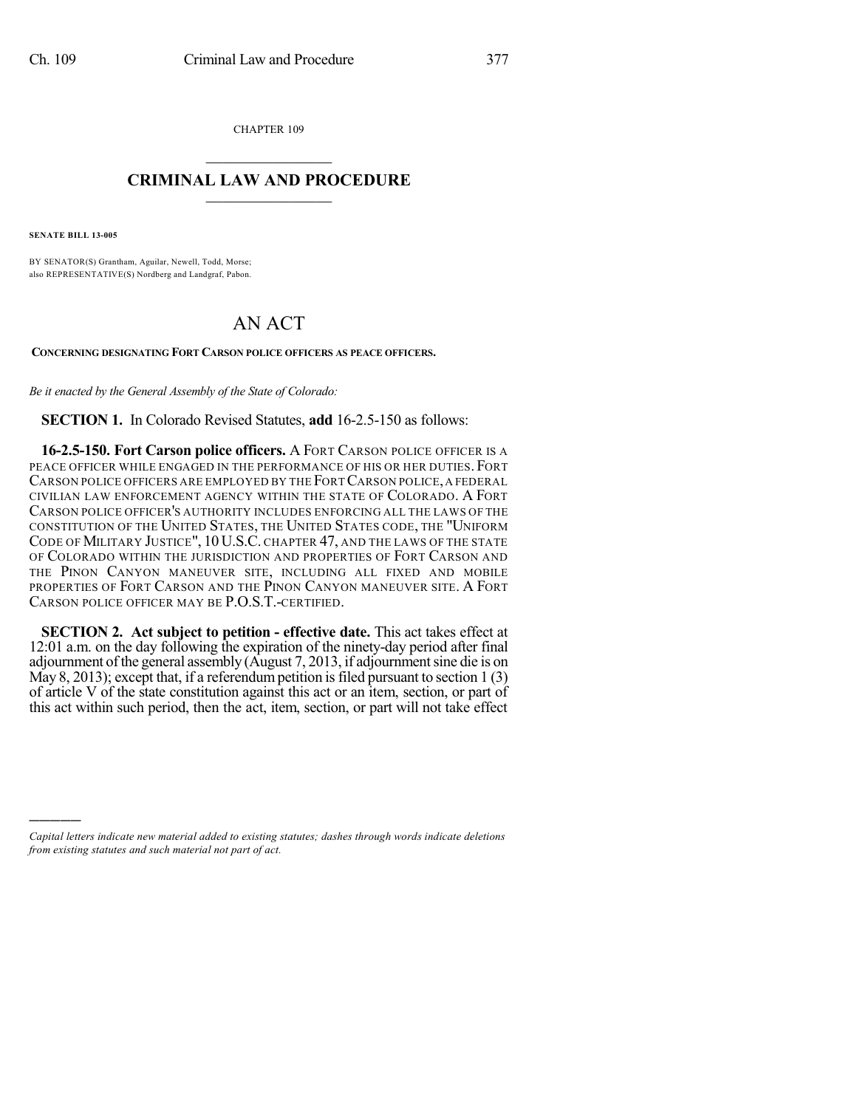CHAPTER 109

## $\mathcal{L}_\text{max}$  . The set of the set of the set of the set of the set of the set of the set of the set of the set of the set of the set of the set of the set of the set of the set of the set of the set of the set of the set **CRIMINAL LAW AND PROCEDURE**  $\_$   $\_$   $\_$   $\_$   $\_$   $\_$   $\_$   $\_$   $\_$   $\_$

**SENATE BILL 13-005**

)))))

BY SENATOR(S) Grantham, Aguilar, Newell, Todd, Morse; also REPRESENTATIVE(S) Nordberg and Landgraf, Pabon.

## AN ACT

**CONCERNING DESIGNATING FORT CARSON POLICE OFFICERS AS PEACE OFFICERS.**

*Be it enacted by the General Assembly of the State of Colorado:*

**SECTION 1.** In Colorado Revised Statutes, **add** 16-2.5-150 as follows:

**16-2.5-150. Fort Carson police officers.** A FORT CARSON POLICE OFFICER IS A PEACE OFFICER WHILE ENGAGED IN THE PERFORMANCE OF HIS OR HER DUTIES. FORT CARSON POLICE OFFICERS ARE EMPLOYED BY THE FORT CARSON POLICE, A FEDERAL CIVILIAN LAW ENFORCEMENT AGENCY WITHIN THE STATE OF COLORADO. A FORT CARSON POLICE OFFICER'S AUTHORITY INCLUDES ENFORCING ALL THE LAWS OF THE CONSTITUTION OF THE UNITED STATES, THE UNITED STATES CODE, THE "UNIFORM CODE OF MILITARY JUSTICE", 10 U.S.C. CHAPTER 47, AND THE LAWS OF THE STATE OF COLORADO WITHIN THE JURISDICTION AND PROPERTIES OF FORT CARSON AND THE PINON CANYON MANEUVER SITE, INCLUDING ALL FIXED AND MOBILE PROPERTIES OF FORT CARSON AND THE PINON CANYON MANEUVER SITE. A FORT CARSON POLICE OFFICER MAY BE P.O.S.T.-CERTIFIED.

**SECTION 2. Act subject to petition - effective date.** This act takes effect at 12:01 a.m. on the day following the expiration of the ninety-day period after final adjournment of the general assembly (August 7, 2013, if adjournment sine die is on May 8, 2013); except that, if a referendum petition is filed pursuant to section  $1(3)$ of article V of the state constitution against this act or an item, section, or part of this act within such period, then the act, item, section, or part will not take effect

*Capital letters indicate new material added to existing statutes; dashes through words indicate deletions from existing statutes and such material not part of act.*